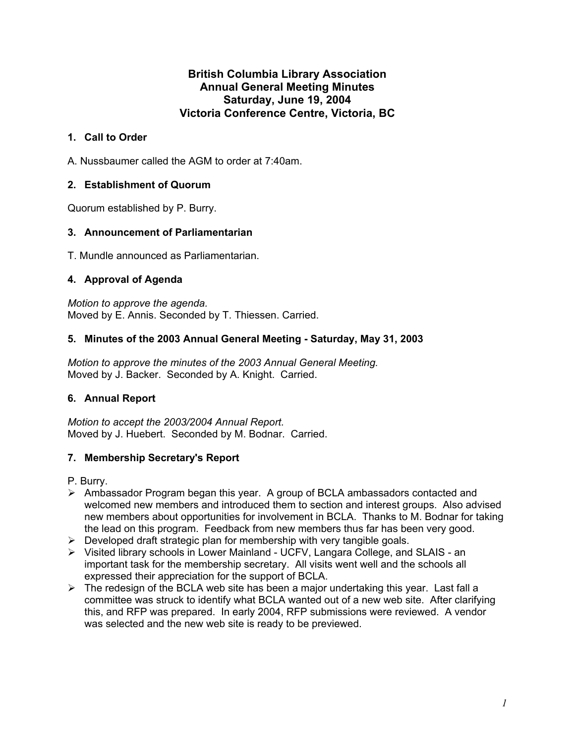## **British Columbia Library Association Annual General Meeting Minutes Saturday, June 19, 2004 Victoria Conference Centre, Victoria, BC**

# **1. Call to Order**

A. Nussbaumer called the AGM to order at 7:40am.

# **2. Establishment of Quorum**

Quorum established by P. Burry.

# **3. Announcement of Parliamentarian**

T. Mundle announced as Parliamentarian.

## **4. Approval of Agenda**

*Motion to approve the agenda.*  Moved by E. Annis. Seconded by T. Thiessen. Carried.

## **5. Minutes of the 2003 Annual General Meeting - Saturday, May 31, 2003**

*Motion to approve the minutes of the 2003 Annual General Meeting.* Moved by J. Backer. Seconded by A. Knight. Carried.

# **6. Annual Report**

*Motion to accept the 2003/2004 Annual Report.*  Moved by J. Huebert. Seconded by M. Bodnar. Carried.

# **7. Membership Secretary's Report**

P. Burry.

- ¾ Ambassador Program began this year. A group of BCLA ambassadors contacted and welcomed new members and introduced them to section and interest groups. Also advised new members about opportunities for involvement in BCLA. Thanks to M. Bodnar for taking the lead on this program. Feedback from new members thus far has been very good.
- $\triangleright$  Developed draft strategic plan for membership with very tangible goals.
- ¾ Visited library schools in Lower Mainland UCFV, Langara College, and SLAIS an important task for the membership secretary. All visits went well and the schools all expressed their appreciation for the support of BCLA.
- $\triangleright$  The redesign of the BCLA web site has been a major undertaking this year. Last fall a committee was struck to identify what BCLA wanted out of a new web site. After clarifying this, and RFP was prepared. In early 2004, RFP submissions were reviewed. A vendor was selected and the new web site is ready to be previewed.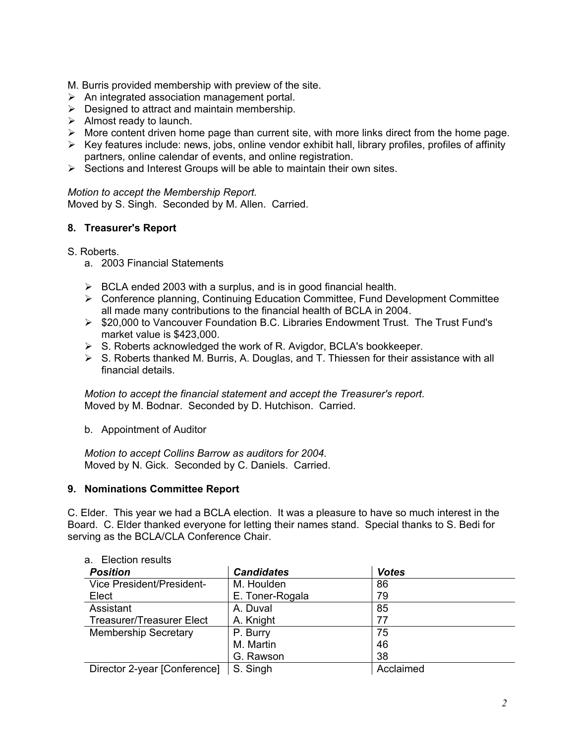M. Burris provided membership with preview of the site.

- $\triangleright$  An integrated association management portal.
- $\triangleright$  Designed to attract and maintain membership.
- $\triangleright$  Almost ready to launch.
- $\triangleright$  More content driven home page than current site, with more links direct from the home page.
- $\triangleright$  Key features include: news, jobs, online vendor exhibit hall, library profiles, profiles of affinity partners, online calendar of events, and online registration.
- $\triangleright$  Sections and Interest Groups will be able to maintain their own sites.

*Motion to accept the Membership Report.*  Moved by S. Singh. Seconded by M. Allen. Carried.

## **8. Treasurer's Report**

#### S. Roberts.

- a. 2003 Financial Statements
- $\triangleright$  BCLA ended 2003 with a surplus, and is in good financial health.
- ¾ Conference planning, Continuing Education Committee, Fund Development Committee all made many contributions to the financial health of BCLA in 2004.
- ¾ \$20,000 to Vancouver Foundation B.C. Libraries Endowment Trust. The Trust Fund's market value is \$423,000.
- $\triangleright$  S. Roberts acknowledged the work of R. Avigdor, BCLA's bookkeeper.
- $\triangleright$  S. Roberts thanked M. Burris, A. Douglas, and T. Thiessen for their assistance with all financial details.

*Motion to accept the financial statement and accept the Treasurer's report.*  Moved by M. Bodnar. Seconded by D. Hutchison. Carried.

b. Appointment of Auditor

*Motion to accept Collins Barrow as auditors for 2004.*  Moved by N. Gick. Seconded by C. Daniels. Carried.

#### **9. Nominations Committee Report**

C. Elder. This year we had a BCLA election. It was a pleasure to have so much interest in the Board. C. Elder thanked everyone for letting their names stand. Special thanks to S. Bedi for serving as the BCLA/CLA Conference Chair.

| <b>Position</b>                  | <b>Candidates</b> | <b>Votes</b> |  |
|----------------------------------|-------------------|--------------|--|
| Vice President/President-        | M. Houlden        | 86           |  |
| Elect                            | E. Toner-Rogala   | 79           |  |
| Assistant                        | A. Duval          | 85           |  |
| <b>Treasurer/Treasurer Elect</b> | A. Knight         | 77           |  |
| <b>Membership Secretary</b>      | P. Burry          | 75           |  |
|                                  | M. Martin         | 46           |  |
|                                  | G. Rawson         | 38           |  |
| Director 2-year [Conference]     | S. Singh          | Acclaimed    |  |

#### a. Election results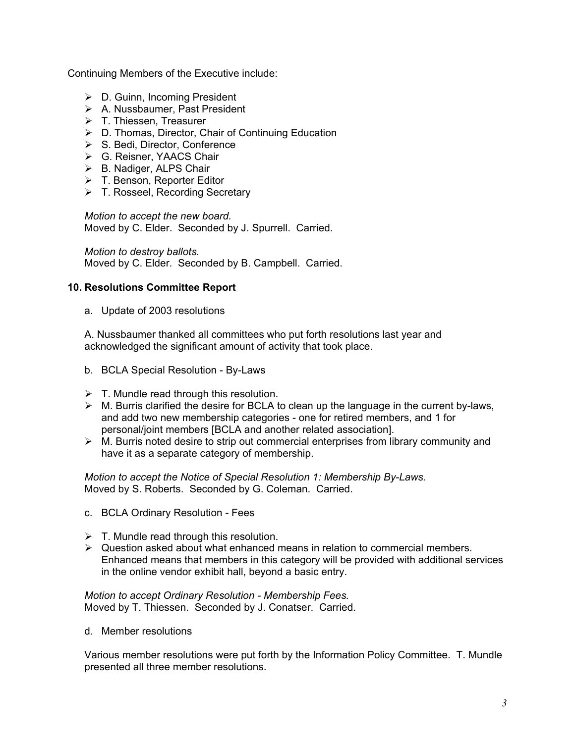Continuing Members of the Executive include:

- $\triangleright$  D. Guinn, Incoming President
- $\triangleright$  A. Nussbaumer, Past President
- $\triangleright$  T. Thiessen, Treasurer
- ¾ D. Thomas, Director, Chair of Continuing Education
- $\triangleright$  S. Bedi, Director, Conference
- ¾ G. Reisner, YAACS Chair
- $\triangleright$  B. Nadiger, ALPS Chair
- ¾ T. Benson, Reporter Editor
- ¾ T. Rosseel, Recording Secretary

*Motion to accept the new board.*  Moved by C. Elder. Seconded by J. Spurrell. Carried.

*Motion to destroy ballots.*  Moved by C. Elder. Seconded by B. Campbell. Carried.

## **10. Resolutions Committee Report**

a. Update of 2003 resolutions

A. Nussbaumer thanked all committees who put forth resolutions last year and acknowledged the significant amount of activity that took place.

- b. BCLA Special Resolution By-Laws
- $\triangleright$  T. Mundle read through this resolution.
- $\triangleright$  M. Burris clarified the desire for BCLA to clean up the language in the current by-laws, and add two new membership categories - one for retired members, and 1 for personal/joint members [BCLA and another related association].
- $\triangleright$  M. Burris noted desire to strip out commercial enterprises from library community and have it as a separate category of membership.

*Motion to accept the Notice of Special Resolution 1: Membership By-Laws.*  Moved by S. Roberts. Seconded by G. Coleman. Carried.

- c. BCLA Ordinary Resolution Fees
- $\triangleright$  T. Mundle read through this resolution.
- $\triangleright$  Question asked about what enhanced means in relation to commercial members. Enhanced means that members in this category will be provided with additional services in the online vendor exhibit hall, beyond a basic entry.

*Motion to accept Ordinary Resolution - Membership Fees.*  Moved by T. Thiessen. Seconded by J. Conatser. Carried.

d. Member resolutions

Various member resolutions were put forth by the Information Policy Committee. T. Mundle presented all three member resolutions.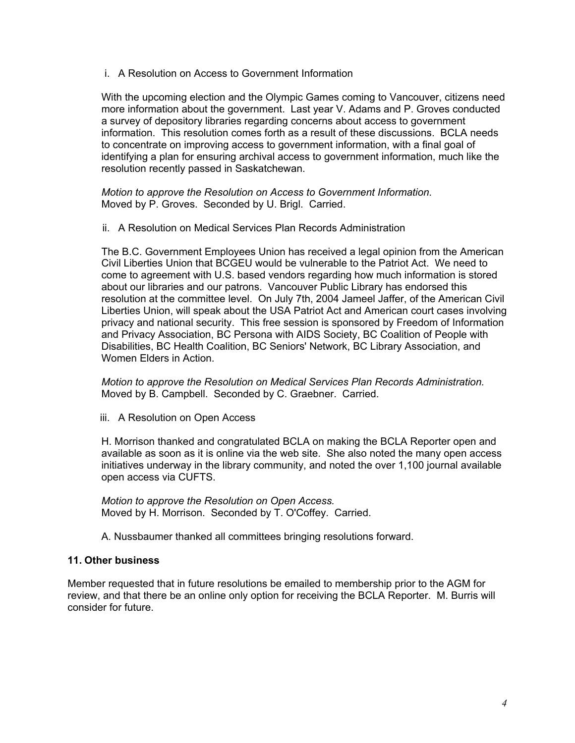i. A Resolution on Access to Government Information

With the upcoming election and the Olympic Games coming to Vancouver, citizens need more information about the government. Last year V. Adams and P. Groves conducted a survey of depository libraries regarding concerns about access to government information. This resolution comes forth as a result of these discussions. BCLA needs to concentrate on improving access to government information, with a final goal of identifying a plan for ensuring archival access to government information, much like the resolution recently passed in Saskatchewan.

*Motion to approve the Resolution on Access to Government Information.*  Moved by P. Groves. Seconded by U. Brigl. Carried.

ii. A Resolution on Medical Services Plan Records Administration

The B.C. Government Employees Union has received a legal opinion from the American Civil Liberties Union that BCGEU would be vulnerable to the Patriot Act. We need to come to agreement with U.S. based vendors regarding how much information is stored about our libraries and our patrons. Vancouver Public Library has endorsed this resolution at the committee level. On July 7th, 2004 Jameel Jaffer, of the American Civil Liberties Union, will speak about the USA Patriot Act and American court cases involving privacy and national security. This free session is sponsored by Freedom of Information and Privacy Association, BC Persona with AIDS Society, BC Coalition of People with Disabilities, BC Health Coalition, BC Seniors' Network, BC Library Association, and Women Elders in Action.

*Motion to approve the Resolution on Medical Services Plan Records Administration.*  Moved by B. Campbell. Seconded by C. Graebner. Carried.

iii. A Resolution on Open Access

H. Morrison thanked and congratulated BCLA on making the BCLA Reporter open and available as soon as it is online via the web site. She also noted the many open access initiatives underway in the library community, and noted the over 1,100 journal available open access via CUFTS.

*Motion to approve the Resolution on Open Access.*  Moved by H. Morrison. Seconded by T. O'Coffey. Carried.

A. Nussbaumer thanked all committees bringing resolutions forward.

## **11. Other business**

Member requested that in future resolutions be emailed to membership prior to the AGM for review, and that there be an online only option for receiving the BCLA Reporter. M. Burris will consider for future.